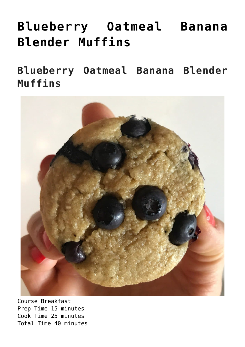## **[Blueberry Oatmeal Banana](https://alethiatruefit.com/recipes/blueberry-oatmeal-banana-blender-muffins/) [Blender Muffins](https://alethiatruefit.com/recipes/blueberry-oatmeal-banana-blender-muffins/)**

**Blueberry Oatmeal Banana Blender Muffins**



Course Breakfast Prep Time 15 minutes Cook Time 25 minutes Total Time 40 minutes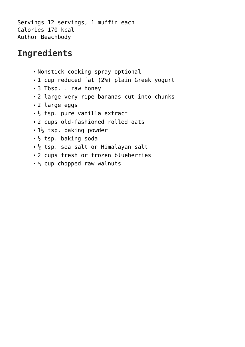Servings [12](https://www.beachbodyondemand.com/blog/blueberry-oatmeal-blender-muffins-recipe#) servings, 1 muffin each Calories 170 kcal Author Beachbody

## **Ingredients**

- Nonstick cooking spray optional
- 1 cup reduced fat (2%) plain Greek yogurt
- 3 Tbsp. . raw honey
- 2 large very ripe bananas cut into chunks
- 2 large eggs
- $\frac{1}{2}$  tsp. pure vanilla extract
- 2 cups old-fashioned rolled oats
- $\blacksquare$  1<sup>1</sup>/<sub>2</sub> tsp. baking powder
- $\frac{1}{2}$  tsp. baking soda
- $\frac{1}{2}$  tsp. sea salt or Himalayan salt
- 2 cups fresh or frozen blueberries
- ₹ cup chopped raw walnuts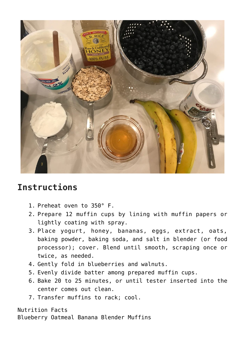

## **Instructions**

- 1. Preheat oven to 350° F.
- 2. Prepare 12 muffin cups by lining with muffin papers or lightly coating with spray.
- 3. Place yogurt, honey, bananas, eggs, extract, oats, baking powder, baking soda, and salt in blender (or food processor); cover. Blend until smooth, scraping once or twice, as needed.
- 4. Gently fold in blueberries and walnuts.
- 5. Evenly divide batter among prepared muffin cups.
- 6. Bake 20 to 25 minutes, or until tester inserted into the center comes out clean.
- 7. Transfer muffins to rack; cool.

Nutrition Facts Blueberry Oatmeal Banana Blender Muffins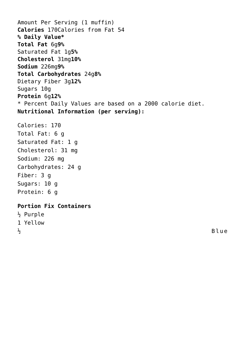Amount Per Serving (1 muffin) **Calories** 170Calories from Fat 54 **% Daily Value\* Total Fat** 6g**9%** Saturated Fat 1g**5% Cholesterol** 31mg**10% Sodium** 226mg**9% Total Carbohydrates** 24g**8%** Dietary Fiber 3g**12%** Sugars 10g **Protein** 6g**12%** \* Percent Daily Values are based on a 2000 calorie diet. **Nutritional Information (per serving):** Calories: 170 Total Fat: 6 g Saturated Fat: 1 g Cholesterol: 31 mg Sodium: 226 mg Carbohydrates: 24 g Fiber: 3 g Sugars: 10 g Protein: 6 g **[Portion Fix Containers](https://www.teambeachbody.com/shop/-/shopping/BBPortionFix?ICID=BLOG_PORTIONFIXPGM&refsource=Blog)** ½ Purple

1 Yellow

 $\frac{1}{2}$  Blue